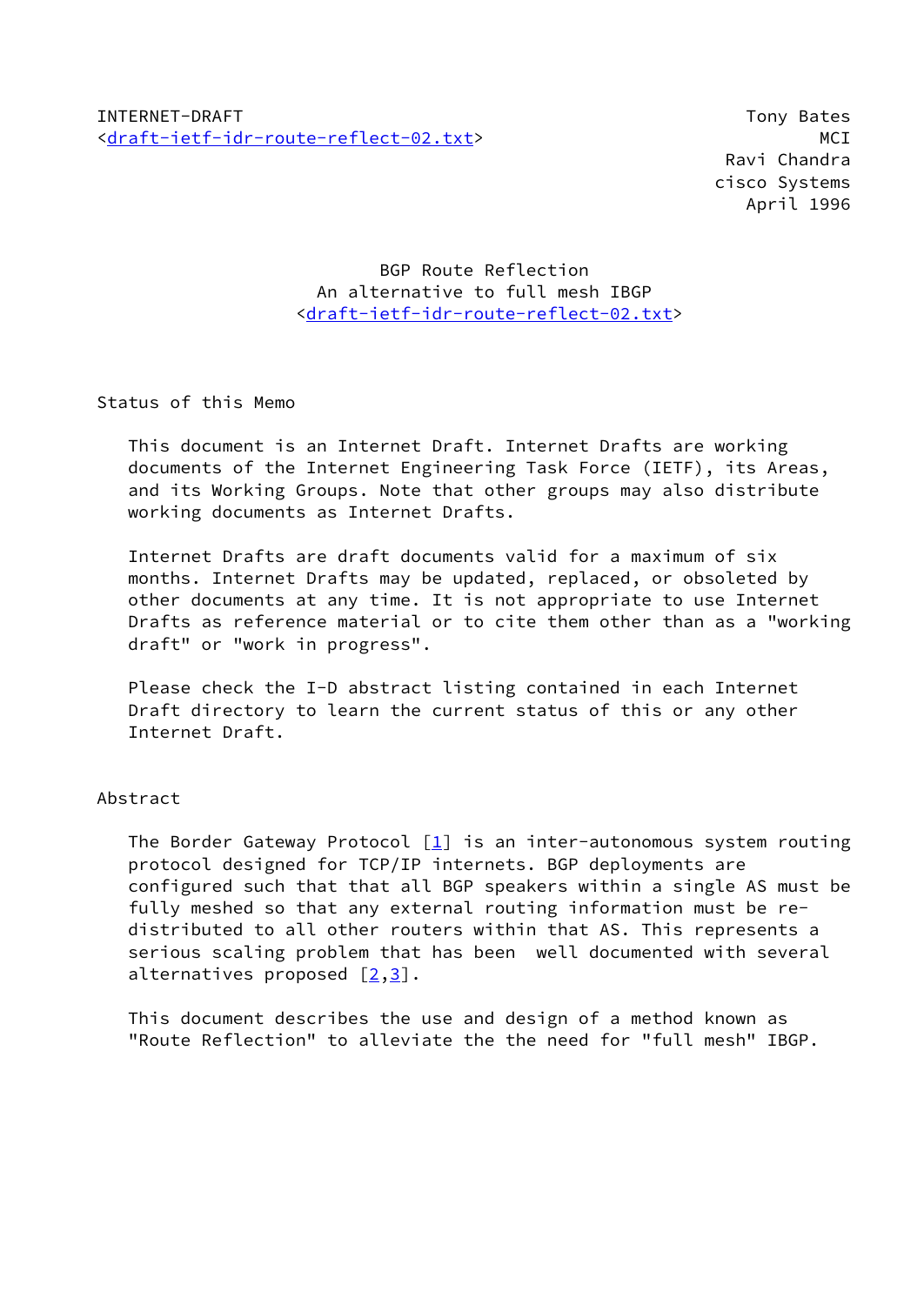Ravi Chandra cisco Systems April 1996

# BGP Route Reflection An alternative to full mesh IBGP [<draft-ietf-idr-route-reflect-02.txt](https://datatracker.ietf.org/doc/pdf/draft-ietf-idr-route-reflect-02.txt)>

Status of this Memo

 This document is an Internet Draft. Internet Drafts are working documents of the Internet Engineering Task Force (IETF), its Areas, and its Working Groups. Note that other groups may also distribute working documents as Internet Drafts.

 Internet Drafts are draft documents valid for a maximum of six months. Internet Drafts may be updated, replaced, or obsoleted by other documents at any time. It is not appropriate to use Internet Drafts as reference material or to cite them other than as a "working draft" or "work in progress".

 Please check the I-D abstract listing contained in each Internet Draft directory to learn the current status of this or any other Internet Draft.

# Abstract

The Border Gateway Protocol  $\begin{bmatrix} 1 \\ 1 \end{bmatrix}$  is an inter-autonomous system routing protocol designed for TCP/IP internets. BGP deployments are configured such that that all BGP speakers within a single AS must be fully meshed so that any external routing information must be re distributed to all other routers within that AS. This represents a serious scaling problem that has been well documented with several alternatives proposed  $[2,3]$  $[2,3]$  $[2,3]$  $[2,3]$ .

 This document describes the use and design of a method known as "Route Reflection" to alleviate the the need for "full mesh" IBGP.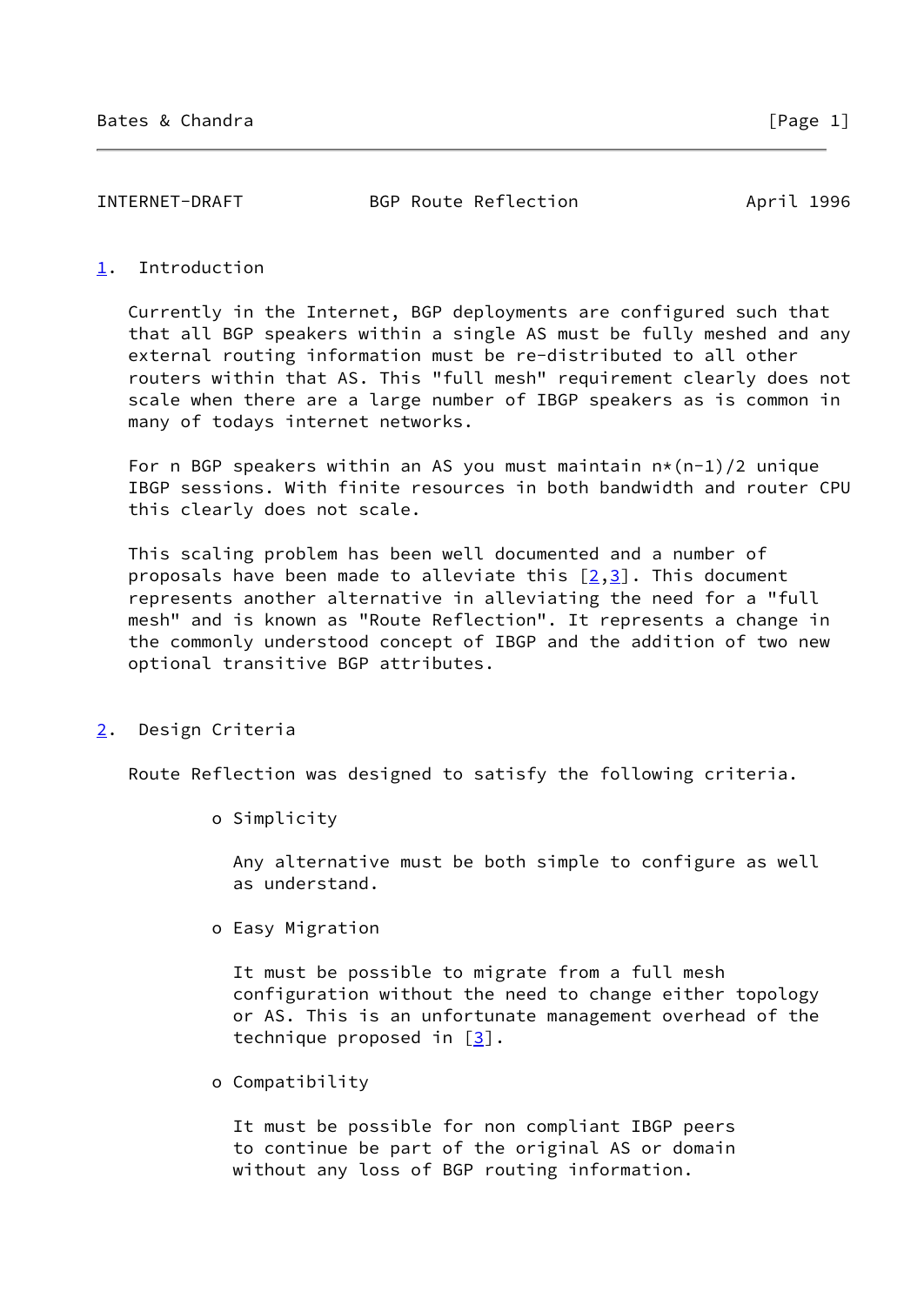| INTERNET-DRAFT | BGP Route Reflection | April 1996 |  |
|----------------|----------------------|------------|--|
|                |                      |            |  |

### <span id="page-1-0"></span>[1](#page-1-0). Introduction

 Currently in the Internet, BGP deployments are configured such that that all BGP speakers within a single AS must be fully meshed and any external routing information must be re-distributed to all other routers within that AS. This "full mesh" requirement clearly does not scale when there are a large number of IBGP speakers as is common in many of todays internet networks.

For n BGP speakers within an AS you must maintain  $n*(n-1)/2$  unique IBGP sessions. With finite resources in both bandwidth and router CPU this clearly does not scale.

 This scaling problem has been well documented and a number of proposals have been made to alleviate this  $[2,3]$  $[2,3]$  $[2,3]$ . This document represents another alternative in alleviating the need for a "full mesh" and is known as "Route Reflection". It represents a change in the commonly understood concept of IBGP and the addition of two new optional transitive BGP attributes.

<span id="page-1-1"></span>[2](#page-1-1). Design Criteria

Route Reflection was designed to satisfy the following criteria.

o Simplicity

 Any alternative must be both simple to configure as well as understand.

o Easy Migration

 It must be possible to migrate from a full mesh configuration without the need to change either topology or AS. This is an unfortunate management overhead of the technique proposed in  $[3]$  $[3]$ .

o Compatibility

 It must be possible for non compliant IBGP peers to continue be part of the original AS or domain without any loss of BGP routing information.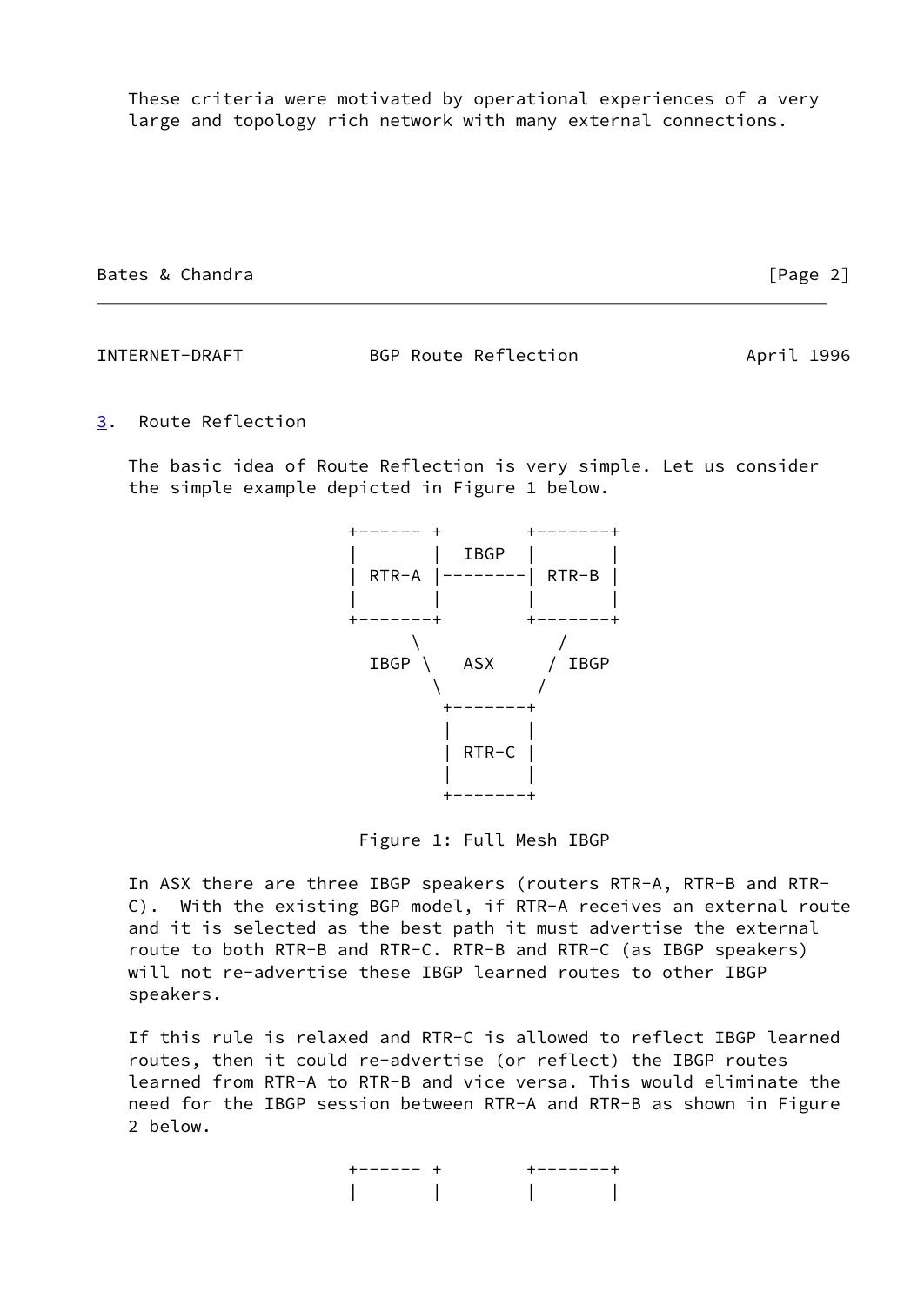These criteria were motivated by operational experiences of a very large and topology rich network with many external connections.

Bates & Chandra [Page 2]

INTERNET-DRAFT BGP Route Reflection April 1996

<span id="page-2-0"></span>[3](#page-2-0). Route Reflection

 The basic idea of Route Reflection is very simple. Let us consider the simple example depicted in Figure 1 below.



Figure 1: Full Mesh IBGP

 In ASX there are three IBGP speakers (routers RTR-A, RTR-B and RTR- C). With the existing BGP model, if RTR-A receives an external route and it is selected as the best path it must advertise the external route to both RTR-B and RTR-C. RTR-B and RTR-C (as IBGP speakers) will not re-advertise these IBGP learned routes to other IBGP speakers.

 If this rule is relaxed and RTR-C is allowed to reflect IBGP learned routes, then it could re-advertise (or reflect) the IBGP routes learned from RTR-A to RTR-B and vice versa. This would eliminate the need for the IBGP session between RTR-A and RTR-B as shown in Figure 2 below.

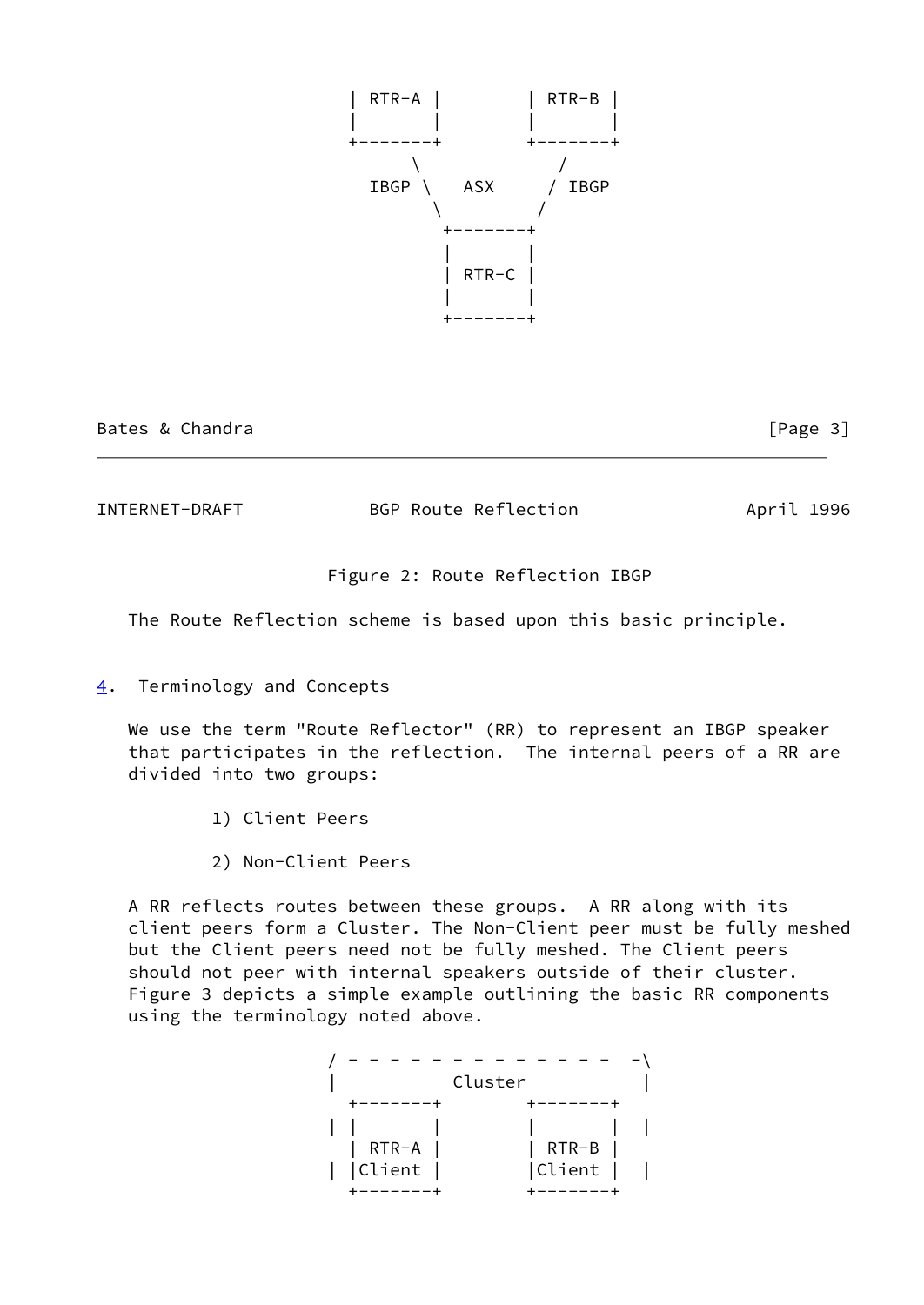

Bates & Chandra **Exercise Exercise Exercise Contracts** EPage 3]

INTERNET-DRAFT BGP Route Reflection April 1996

Figure 2: Route Reflection IBGP

The Route Reflection scheme is based upon this basic principle.

<span id="page-3-0"></span>[4](#page-3-0). Terminology and Concepts

 We use the term "Route Reflector" (RR) to represent an IBGP speaker that participates in the reflection. The internal peers of a RR are divided into two groups:

- 1) Client Peers
- 2) Non-Client Peers

 A RR reflects routes between these groups. A RR along with its client peers form a Cluster. The Non-Client peer must be fully meshed but the Client peers need not be fully meshed. The Client peers should not peer with internal speakers outside of their cluster. Figure 3 depicts a simple example outlining the basic RR components using the terminology noted above.

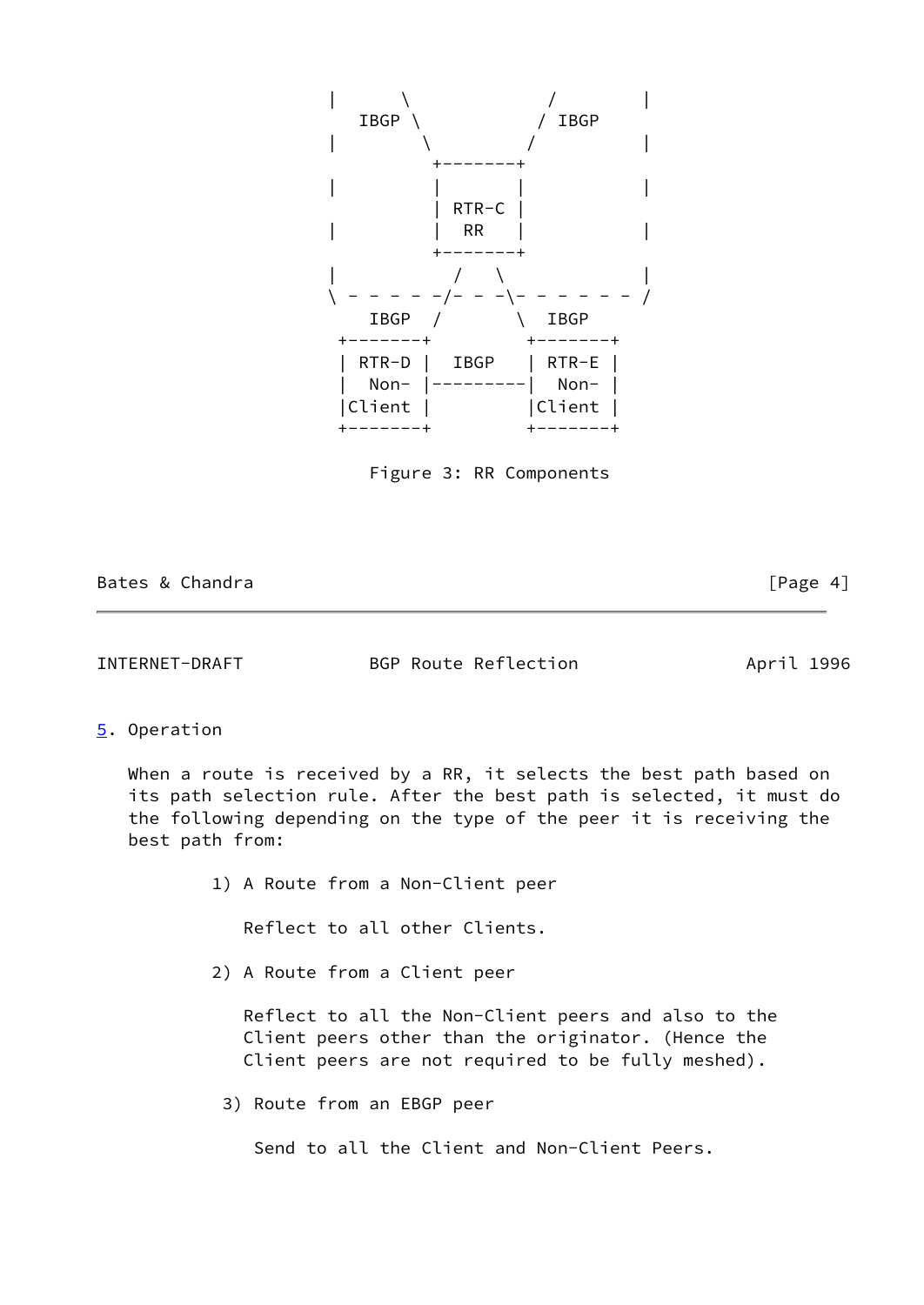

Figure 3: RR Components

Bates & Chandra **Exercise 2018** [Page 4]

INTERNET-DRAFT BGP Route Reflection April 1996

<span id="page-4-0"></span>[5](#page-4-0). Operation

 When a route is received by a RR, it selects the best path based on its path selection rule. After the best path is selected, it must do the following depending on the type of the peer it is receiving the best path from:

1) A Route from a Non-Client peer

Reflect to all other Clients.

2) A Route from a Client peer

 Reflect to all the Non-Client peers and also to the Client peers other than the originator. (Hence the Client peers are not required to be fully meshed).

3) Route from an EBGP peer

Send to all the Client and Non-Client Peers.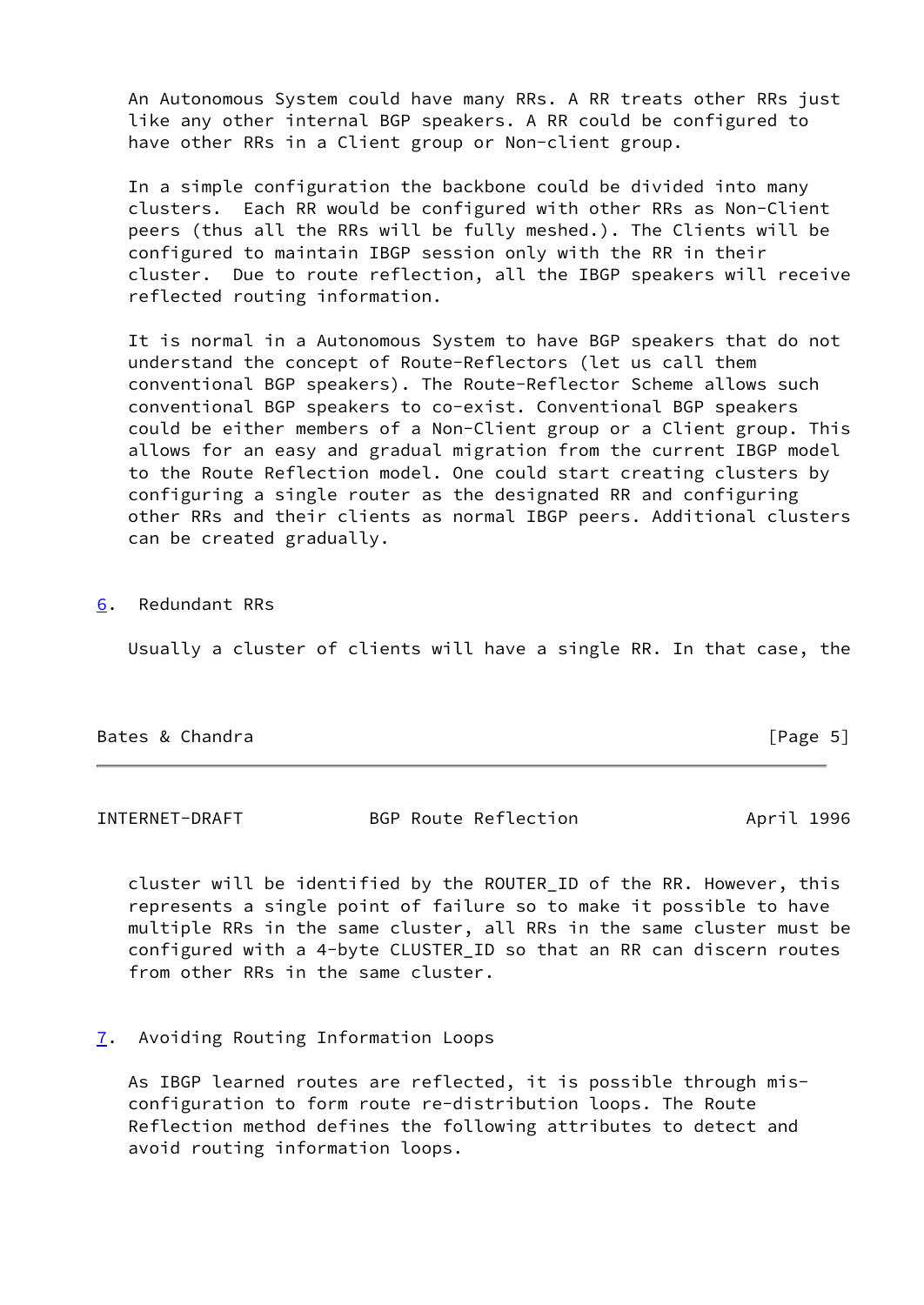An Autonomous System could have many RRs. A RR treats other RRs just like any other internal BGP speakers. A RR could be configured to have other RRs in a Client group or Non-client group.

 In a simple configuration the backbone could be divided into many clusters. Each RR would be configured with other RRs as Non-Client peers (thus all the RRs will be fully meshed.). The Clients will be configured to maintain IBGP session only with the RR in their cluster. Due to route reflection, all the IBGP speakers will receive reflected routing information.

 It is normal in a Autonomous System to have BGP speakers that do not understand the concept of Route-Reflectors (let us call them conventional BGP speakers). The Route-Reflector Scheme allows such conventional BGP speakers to co-exist. Conventional BGP speakers could be either members of a Non-Client group or a Client group. This allows for an easy and gradual migration from the current IBGP model to the Route Reflection model. One could start creating clusters by configuring a single router as the designated RR and configuring other RRs and their clients as normal IBGP peers. Additional clusters can be created gradually.

<span id="page-5-0"></span>[6](#page-5-0). Redundant RRs

Usually a cluster of clients will have a single RR. In that case, the

### Bates & Chandra **Exercise 2** and 2 and 2 and 2 and 2 and 2 and 2 and 2 and 2 and 2 and 2 and 2 and 2 and 2 and 2 and 2 and 2 and 2 and 2 and 2 and 2 and 2 and 2 and 2 and 2 and 2 and 2 and 2 and 2 and 2 and 2 and 2 and 2 a

INTERNET-DRAFT BGP Route Reflection April 1996

 cluster will be identified by the ROUTER\_ID of the RR. However, this represents a single point of failure so to make it possible to have multiple RRs in the same cluster, all RRs in the same cluster must be configured with a 4-byte CLUSTER\_ID so that an RR can discern routes from other RRs in the same cluster.

### <span id="page-5-1"></span>[7](#page-5-1). Avoiding Routing Information Loops

 As IBGP learned routes are reflected, it is possible through mis configuration to form route re-distribution loops. The Route Reflection method defines the following attributes to detect and avoid routing information loops.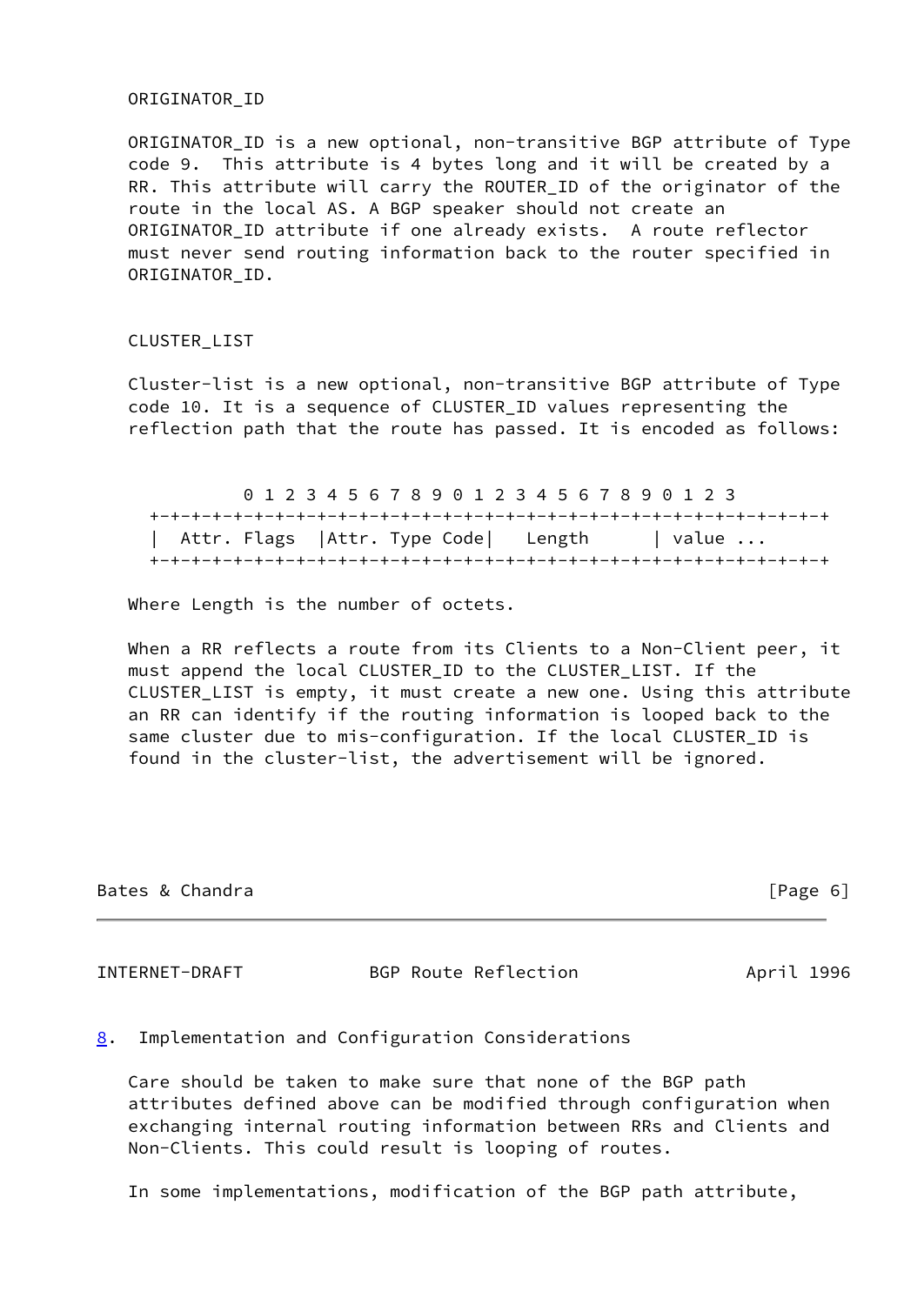#### ORIGINATOR\_ID

 ORIGINATOR\_ID is a new optional, non-transitive BGP attribute of Type code 9. This attribute is 4 bytes long and it will be created by a RR. This attribute will carry the ROUTER\_ID of the originator of the route in the local AS. A BGP speaker should not create an ORIGINATOR\_ID attribute if one already exists. A route reflector must never send routing information back to the router specified in ORIGINATOR\_ID.

#### CLUSTER\_LIST

 Cluster-list is a new optional, non-transitive BGP attribute of Type code 10. It is a sequence of CLUSTER\_ID values representing the reflection path that the route has passed. It is encoded as follows:

 0 1 2 3 4 5 6 7 8 9 0 1 2 3 4 5 6 7 8 9 0 1 2 3 +-+-+-+-+-+-+-+-+-+-+-+-+-+-+-+-+-+-+-+-+-+-+-+-+-+-+-+-+-+-+-+-+ | Attr. Flags | Attr. Type Code| Length | value ... +-+-+-+-+-+-+-+-+-+-+-+-+-+-+-+-+-+-+-+-+-+-+-+-+-+-+-+-+-+-+-+-+

Where Length is the number of octets.

When a RR reflects a route from its Clients to a Non-Client peer, it must append the local CLUSTER\_ID to the CLUSTER\_LIST. If the CLUSTER\_LIST is empty, it must create a new one. Using this attribute an RR can identify if the routing information is looped back to the same cluster due to mis-configuration. If the local CLUSTER\_ID is found in the cluster-list, the advertisement will be ignored.

|  | Bates & Chandra | [Page 6] |  |
|--|-----------------|----------|--|
|  |                 |          |  |

INTERNET-DRAFT BGP Route Reflection April 1996

### <span id="page-6-0"></span>[8](#page-6-0). Implementation and Configuration Considerations

 Care should be taken to make sure that none of the BGP path attributes defined above can be modified through configuration when exchanging internal routing information between RRs and Clients and Non-Clients. This could result is looping of routes.

In some implementations, modification of the BGP path attribute,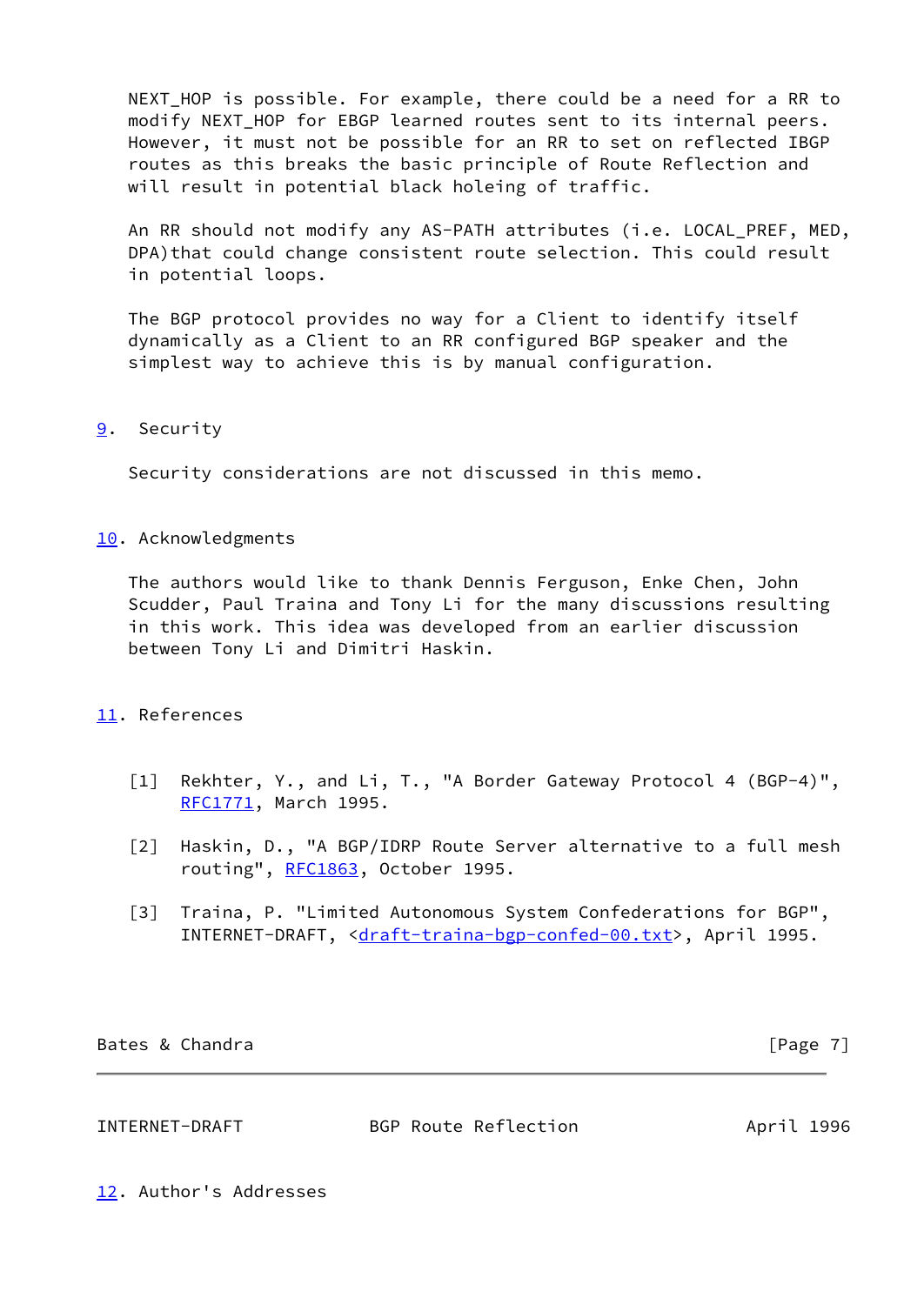NEXT\_HOP is possible. For example, there could be a need for a RR to modify NEXT\_HOP for EBGP learned routes sent to its internal peers. However, it must not be possible for an RR to set on reflected IBGP routes as this breaks the basic principle of Route Reflection and will result in potential black holeing of traffic.

 An RR should not modify any AS-PATH attributes (i.e. LOCAL\_PREF, MED, DPA)that could change consistent route selection. This could result in potential loops.

 The BGP protocol provides no way for a Client to identify itself dynamically as a Client to an RR configured BGP speaker and the simplest way to achieve this is by manual configuration.

### <span id="page-7-3"></span>[9](#page-7-3). Security

Security considerations are not discussed in this memo.

### <span id="page-7-4"></span>[10.](#page-7-4) Acknowledgments

 The authors would like to thank Dennis Ferguson, Enke Chen, John Scudder, Paul Traina and Tony Li for the many discussions resulting in this work. This idea was developed from an earlier discussion between Tony Li and Dimitri Haskin.

# <span id="page-7-5"></span>[11.](#page-7-5) References

- <span id="page-7-0"></span> [1] Rekhter, Y., and Li, T., "A Border Gateway Protocol 4 (BGP-4)", [RFC1771](https://datatracker.ietf.org/doc/pdf/rfc1771), March 1995.
- <span id="page-7-1"></span> [2] Haskin, D., "A BGP/IDRP Route Server alternative to a full mesh routing", [RFC1863](https://datatracker.ietf.org/doc/pdf/rfc1863), October 1995.
- <span id="page-7-2"></span> [3] Traina, P. "Limited Autonomous System Confederations for BGP", INTERNET-DRAFT, [<draft-traina-bgp-confed-00.txt](https://datatracker.ietf.org/doc/pdf/draft-traina-bgp-confed-00.txt)>, April 1995.

Bates & Chandra **Exercise 2** [Page 7]

INTERNET-DRAFT BGP Route Reflection April 1996

<span id="page-7-6"></span>[12.](#page-7-6) Author's Addresses